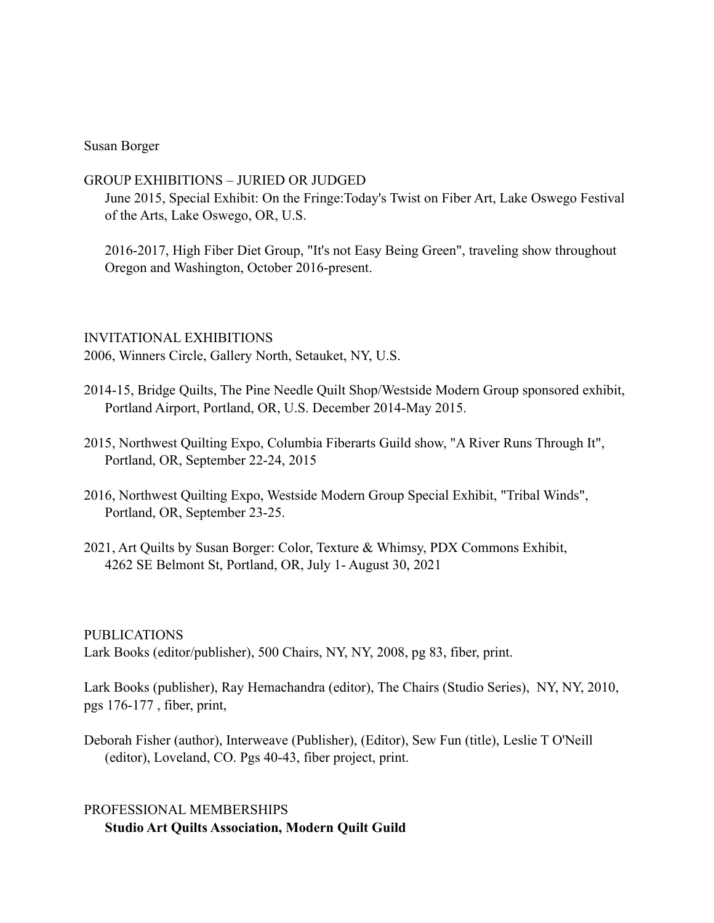#### Susan Borger

### GROUP EXHIBITIONS – JURIED OR JUDGED

June 2015, Special Exhibit: On the Fringe:Today's Twist on Fiber Art, Lake Oswego Festival of the Arts, Lake Oswego, OR, U.S.

 2016-2017, High Fiber Diet Group, "It's not Easy Being Green", traveling show throughout Oregon and Washington, October 2016-present.

#### INVITATIONAL EXHIBITIONS

2006, Winners Circle, Gallery North, Setauket, NY, U.S.

- 2014-15, Bridge Quilts, The Pine Needle Quilt Shop/Westside Modern Group sponsored exhibit, Portland Airport, Portland, OR, U.S. December 2014-May 2015.
- 2015, Northwest Quilting Expo, Columbia Fiberarts Guild show, "A River Runs Through It", Portland, OR, September 22-24, 2015
- 2016, Northwest Quilting Expo, Westside Modern Group Special Exhibit, "Tribal Winds", Portland, OR, September 23-25.
- 2021, Art Quilts by Susan Borger: Color, Texture & Whimsy, PDX Commons Exhibit, 4262 SE Belmont St, Portland, OR, July 1- August 30, 2021

## PUBLICATIONS

Lark Books (editor/publisher), 500 Chairs, NY, NY, 2008, pg 83, fiber, print.

Lark Books (publisher), Ray Hemachandra (editor), The Chairs (Studio Series), NY, NY, 2010, pgs 176-177 , fiber, print,

Deborah Fisher (author), Interweave (Publisher), (Editor), Sew Fun (title), Leslie T O'Neill (editor), Loveland, CO. Pgs 40-43, fiber project, print.

# PROFESSIONAL MEMBERSHIPS **Studio Art Quilts Association, Modern Quilt Guild**